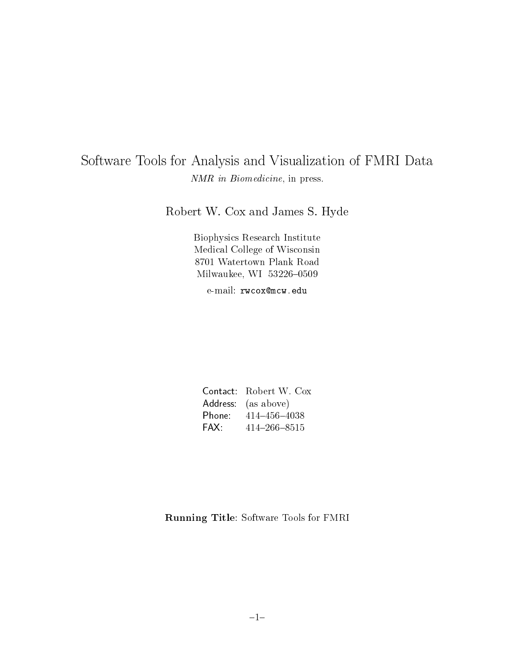# Software Tools for Analysis and Visualization of FMRI Data NMR in Biomedicine, in press.

Robert W. Cox and James S. Hyde

Biophysics Research Institute Medical College of Wisconsin milwaukee Williams wood

e-mail: rwcox@mcw.edu

|        | Contact: Robert W. Cox |
|--------|------------------------|
|        | Address: (as above)    |
| Phone: | 414-456-4038           |
| FAX:   | 414-266-8515           |

Running Title Software Tools for FMRI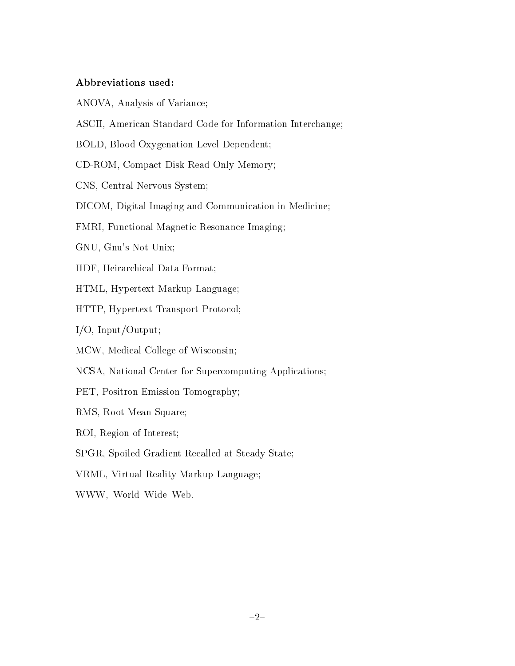#### Abbreviations used

- ANOVA, Analysis of Variance;
- ASCII, American Standard Code for Information Interchange;
- BOLD, Blood Oxygenation Level Dependent;
- CD-ROM, Compact Disk Read Only Memory;
- CNS, Central Nervous System;
- DICOM, Digital Imaging and Communication in Medicine;
- FMRI, Functional Magnetic Resonance Imaging;
- GNU, Gnu's Not Unix;
- HDF, Heirarchical Data Format;
- HTML, Hypertext Markup Language;
- HTTP, Hypertext Transport Protocol;
- $I/O$ , Input/Output;
- MCW, Medical College of Wisconsin;
- NCSA, National Center for Supercomputing Applications;
- PET, Positron Emission Tomography;
- RMS, Root Mean Square;
- ROI, Region of Interest;
- SPGR, Spoiled Gradient Recalled at Steady State;
- VRML, Virtual Reality Markup Language;
- WWW, World Wide Web.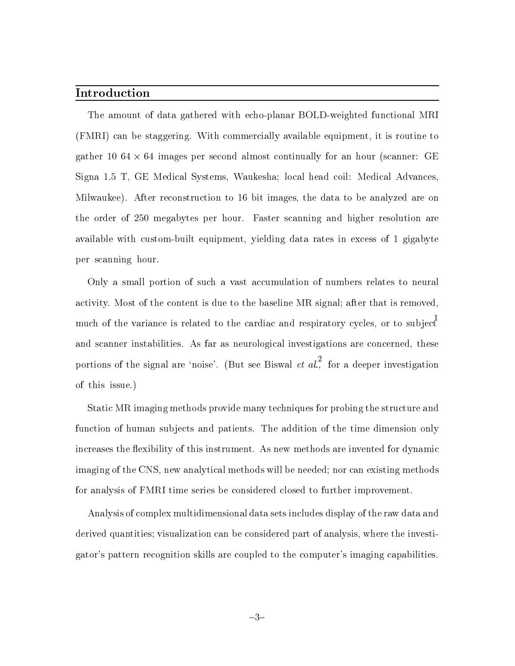#### Introduction

The amount of data gathered with echo-planar BOLD-weighted functional MRI (FMRI) can be staggering. With commercially available equipment, it is routine to gather 10 64  $\times$  64 images per second almost continually for an hour (scanner: GE Signa 1.5 T, GE Medical Systems, Waukesha; local head coil: Medical Advances, Milwaukee). After reconstruction to 16 bit images, the data to be analyzed are on the order of 250 megabytes per hour. Faster scanning and higher resolution are available with custom-built equipment, yielding data rates in excess of 1 gigabyte per scanning hour

Only a small portion of such a vast accumulation of numbers relates to neural activity. Most of the content is due to the baseline MR signal; after that is removed, much of the variance is related to the cardiac and respiratory cycles, or to subject and scanner instabilities. As far as neurological investigations are concerned, these portions of the signal are 'noise'. (But see Biswal *et al.*, for a deeper investigation of this issue

Static MR imaging methods provide many techniques for probing the structure and function of human subjects and patients. The addition of the time dimension only increases the flexibility of this instrument. As new methods are invented for dynamic imaging of the CNS, new analytical methods will be needed; nor can existing methods for analysis of FMRI time series be considered closed to further improvement

Analysis of complex multidimensional data sets includes display of the raw data and derived quantities; visualization can be considered part of analysis, where the investigator's pattern recognition skills are coupled to the computer's imaging capabilities.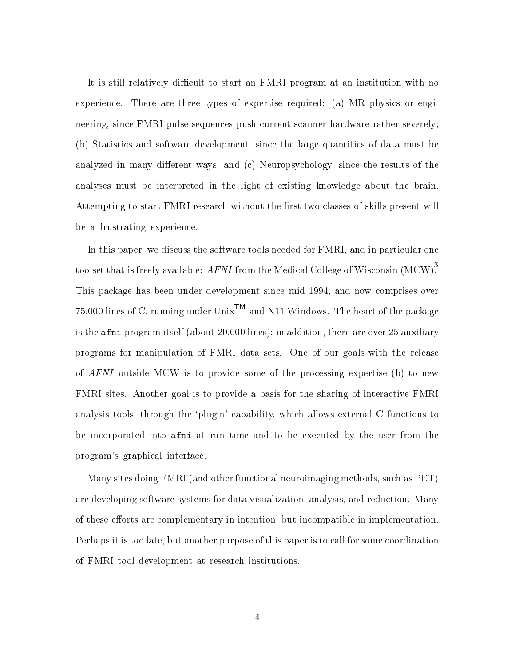It is still relatively difficult to start an FMRI program at an institution with no experience. There are three types of expertise required: (a) MR physics or engineering, since FMRI pulse sequences push current scanner hardware rather severely: b Statistics and software development since the large quantities of data must be analyzed in many different ways; and (c) Neuropsychology, since the results of the analyses must be interpreted in the light of existing knowledge about the brain Attempting to start FMRI research without the first two classes of skills present will be a frustrating experience

In this paper, we discuss the software tools needed for FMRI, and in particular one toolset that is freely available:  $AFNI$  from the Medical College of Wisconsin (MCW). This package has been under development since mid-1994, and now comprises over 75,000 lines of C, running under Unix<sup>TM</sup> and X11 Windows. The heart of the package is the afni program itself (about  $20,000$  lines); in addition, there are over  $25$  auxiliary programs for manipulation of FMRI data sets One of our goals with the release of  $AFNI$  outside MCW is to provide some of the processing expertise (b) to new FMRI sites. Another goal is to provide a basis for the sharing of interactive FMRI analysis tools, through the 'plugin' capability, which allows external C functions to be incorporated into afni at run time and to be executed by the user from the program's graphical interface.

Many sites doing FMRI (and other functional neuroimaging methods, such as  $\text{PET}$ ) are developing software systems for data visualization, analysis, and reduction. Many of these efforts are complementary in intention, but incompatible in implementation. Perhaps it is too late, but another purpose of this paper is to call for some coordination of FMRI tool development at research institutions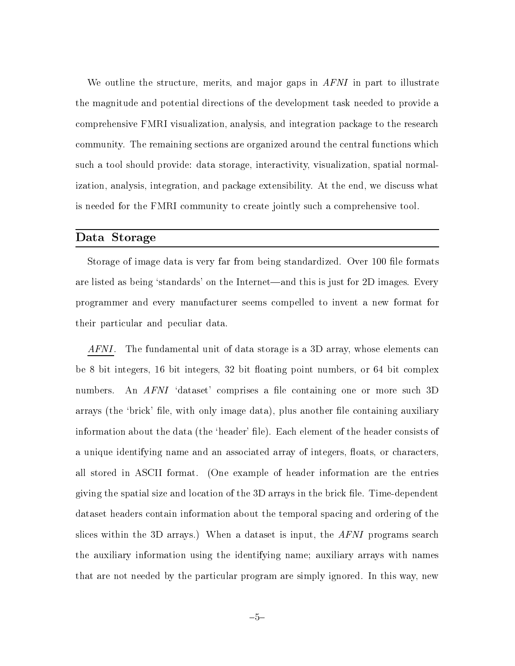We outline the structure, merits, and major gaps in  $AFNI$  in part to illustrate the magnitude and potential directions of the development task needed to provide a comprehensive FMRI visualization, analysis, and integration package to the research community. The remaining sections are organized around the central functions which such a tool should provide: data storage, interactivity, visualization, spatial normalization, analysis, integration, and package extensibility. At the end, we discuss what is needed for the FMRI community to create jointly such a comprehensive tool

## Data Storage

Storage of image data is very far from being standardized. Over 100 file formats are listed as being 'standards' on the Internet—and this is just for 2D images. Every programmer and every manufacturer seems compelled to invent a new format for their particular and peculiar data

 $AFNI.$  The fundamental unit of data storage is a 3D array, whose elements can bit interesting from the complexity of the model point numbers of the state of the point of the complexity of the complexity of the complexity of the complexity of the complexity of the complexity of the complexity of the An AFNI 'dataset' comprises a file containing one or more such 3D numbers. arrays (the 'brick' file, with only image data), plus another file containing auxiliary information about the data (the 'header' file). Each element of the header consists of a unique identifying name and an associated array of integers, floats, or characters, all stored in ASCII format. (One example of header information are the entries giving the spatial size and location of the 3D arrays in the brick file. Time-dependent dataset headers contain information about the temporal spacing and ordering of the slices within the 3D arrays.) When a dataset is input, the  $AFNI$  programs search the auxiliary information using the identifying name; auxiliary arrays with names that are not needed by the particular program are simply ignored. In this way, new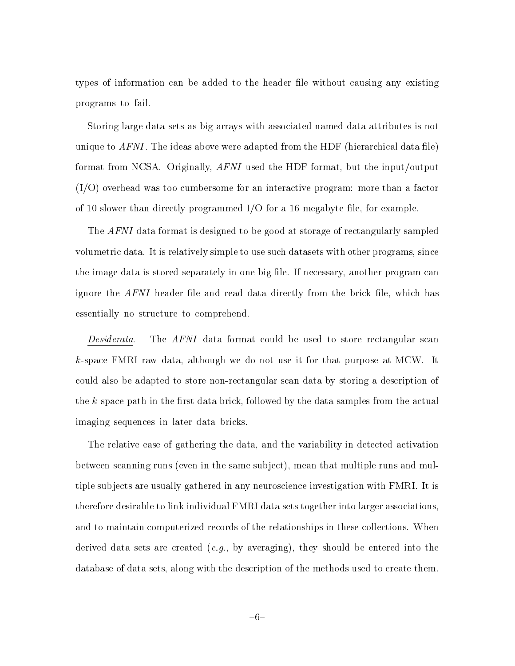types of information can be added to the header file without causing any existing programs to fail

Storing large data sets as big arrays with associated named data attributes is not unique to  $AFNI$ . The ideas above were adapted from the HDF (hierarchical data file) format from NCSA. Originally,  $AFNI$  used the HDF format, but the input/output  $I(O)$  overhead was too cumbersome for an interactive program: more than a factor of 10 slower than directly programmed I/O for a 16 megabyte file, for example.

The AFNI data format is designed to be good at storage of rectangularly sampled volumetric data. It is relatively simple to use such datasets with other programs, since the image data is stored separately in one big file. If necessary, another program can ignore the  $AFNI$  header file and read data directly from the brick file, which has essentially no structure to comprehend

Desiderata. The  $AFNI$  data format could be used to store rectangular scan  $k$ -space FMRI raw data, although we do not use it for that purpose at MCW. It could also be adapted to store nonrectangular scan data by storing a description of the  $k$ -space path in the first data brick, followed by the data samples from the actual imaging sequences in later data bricks

The relative ease of gathering the data and the variability in detected activation between scanning runs (even in the same subject), mean that multiple runs and multiple subjects are usually gathered in any neuroscience investigation with FMRI. It is therefore desirable to link individual FMRI data sets together into larger associations and to maintain computerized records of the relationships in these collections. When derived data sets are created (e.g., by averaging), they should be entered into the database of data sets, along with the description of the methods used to create them.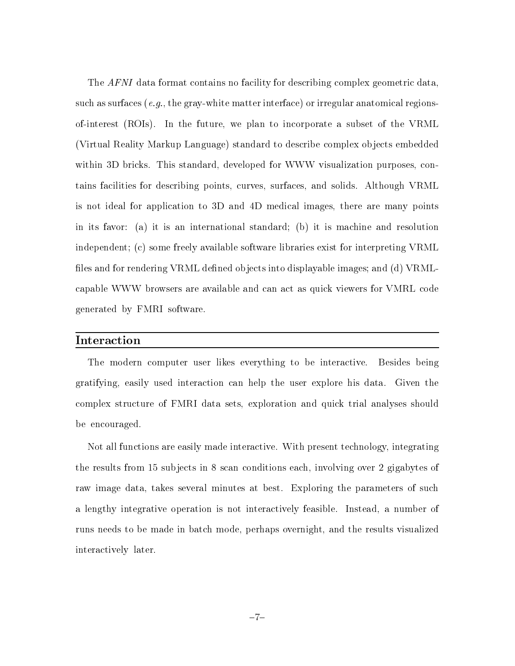The *AFNI* data format contains no facility for describing complex geometric data, such as surfaces (e.g., the gray-white matter interface) or irregular anatomical regionsof-interest (ROIs). In the future, we plan to incorporate a subset of the VRML (Virtual Reality Markup Language) standard to describe complex objects embedded within 3D bricks. This standard, developed for WWW visualization purposes, contains facilities for describing points, curves, surfaces, and solids. Although VRML is not ideal for application to 3D and 4D medical images, there are many points in its favor: (a) it is an international standard; (b) it is machine and resolution independent; (c) some freely available software libraries exist for interpreting VRML files and for rendering VRML defined objects into displayable images; and  $(d)$  VRMLcapable WWW browsers are available and can act as quick viewers for VMRL code generated by FMRI software

#### Interaction

The modern computer user likes everything to be interactive. Besides being gratifying, easily used interaction can help the user explore his data. Given the complex structure of FMRI data sets exploration and quick trial analyses should be encouraged

Not all functions are easily made interactive. With present technology, integrating the results from the results in the substitution of the substitutions of  $\alpha$  and  $\alpha$ raw image data, takes several minutes at best. Exploring the parameters of such a lengthy integrative operation is not interactively feasible. Instead, a number of runs needs to be made in batch mode, perhaps overnight, and the results visualized interactively later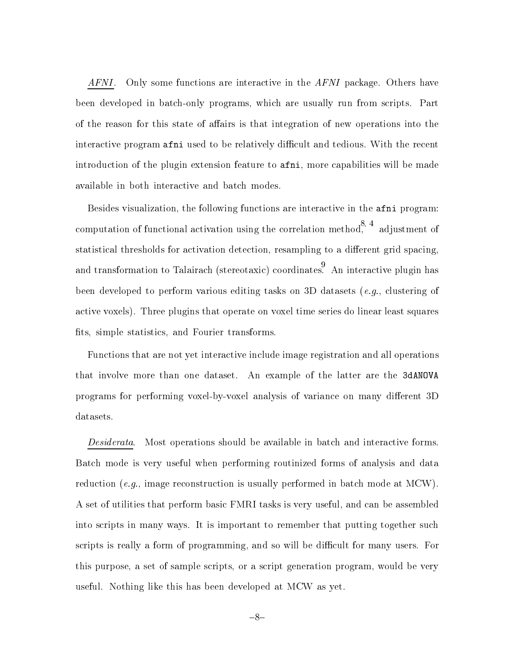$AFNI.$  Only some functions are interactive in the  $AFNI$  package. Others have been developed in batch-only programs, which are usually run from scripts. Part of the reason for this state of affairs is that integration of new operations into the interactive program afni used to be relatively difficult and tedious. With the recent introduction of the plugin extension feature to afini, more capabilities will be made available in both interactive and batch modes

Besides visualization, the following functions are interactive in the afni program: computation of functional activation using the correlation method,  $8, 4$  adjustment of statistical thresholds for activation detection, resampling to a different grid spacing. and transformation to Talairach (stereotaxic) coordinates. An interactive plugin has been developed to perform various editing tasks on 3D datasets (e.g., clustering of active voxels). Three plugins that operate on voxel time series do linear least squares fits, simple statistics, and Fourier transforms.

Functions that are not yet interactive include image registration and all operations that involve more thanks that anywhere the complete the latter are the - the - the - the - the - the - the programs for performing voxel-by-voxel analysis of variance on many different 3D datasets

Desiderata. Most operations should be available in batch and interactive forms. Batch mode is very useful when performing routinized forms of analysis and data reduction (e.g., image reconstruction is usually performed in batch mode at MCW). A set of utilities that perform basic FMRI tasks is very useful and can be assembled into scripts in many ways It is important to remember that putting together such scripts is really a form of programming, and so will be difficult for many users. For this purpose, a set of sample scripts, or a script generation program, would be very useful. Nothing like this has been developed at MCW as yet.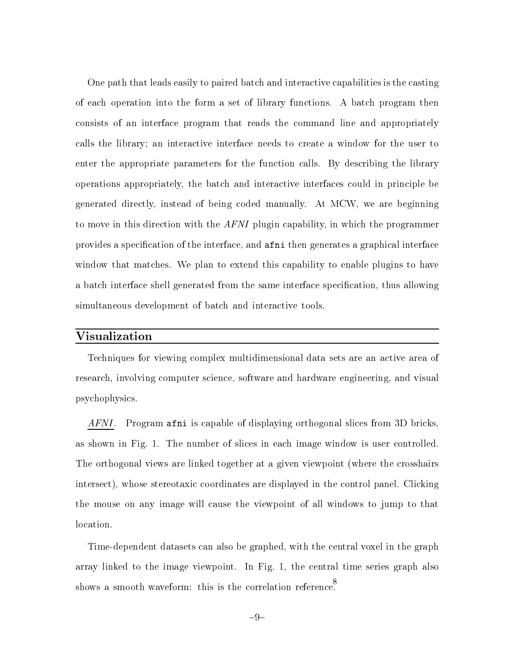One path that leads easily to paired batch and interactive capabilities is the casting of each operation into the form a set of library functions A batch program then consists of an interface program that reads the command line and appropriately calls the library; an interactive interface needs to create a window for the user to enter the appropriate parameters for the function calls. By describing the library operations appropriately the batch and interactive interfaces could in principle be generated directly, instead of being coded manually. At MCW, we are beginning to move in this direction with the *AFNI* plugin capability, in which the programmer provides a specification of the interface, and afni then generates a graphical interface window that matches. We plan to extend this capability to enable plugins to have a batch interface shell generated from the same interface specification, thus allowing simultaneous development of batch and interactive tools

#### Visualization

Techniques for viewing complex multidimensional data sets are an active area of research, involving computer science, software and hardware engineering, and visual psychophysics

 $AFNI.$  Program afni is capable of displaying orthogonal slices from 3D bricks, as shown in Fig. 1. The number of slices in each image window is user controlled. The orthogonal views are linked together at a given viewpoint (where the crosshairs intersect), whose stereotaxic coordinates are displayed in the control panel. Clicking the mouse on any image will cause the viewpoint of all windows to jump to that location

Time-dependent datasets can also be graphed, with the central voxel in the graph array linked to the image viewpoint. In Fig. 1, the central time series graph also shows a smooth waveform: this is the correlation reference.

 $-9-$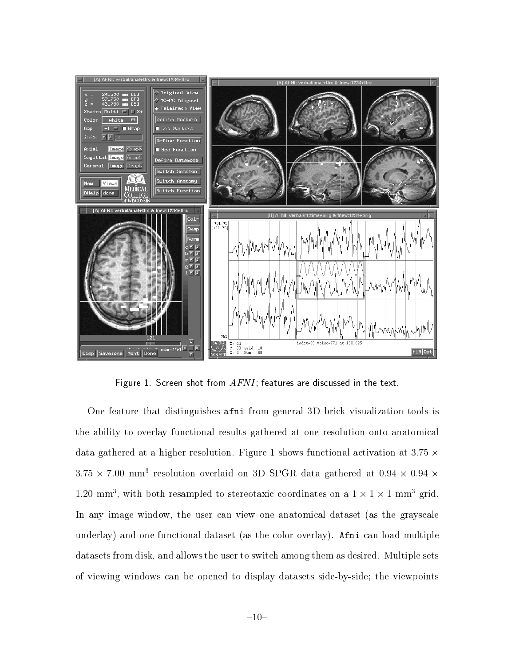

Figure - Screen shot from AFNI features are discussed in the text-

One feature that distinguishes afni from general 3D brick visualization tools is the ability to overlay functional results gathered at one resolution onto anatomical data gathered at a higher resolution. Figure 1 shows functional activation at  $3.75 \times$  $3.75 \times 7.00$  mm<sup>3</sup> resolution overlaid on 3D SPGR data gathered at  $0.94 \times 0.94 \times$ 1.20 mm $\,$  , with both resampled to stereotaxic coordinates on a 1  $\times$  1  $\times$  1 mm $\,$  2110. In any image window, the user can view one anatomical dataset (as the grayscale underlay) and one functional dataset (as the color overlay). Afni can load multiple datasets from disk, and allows the user to switch among them as desired. Multiple sets of viewing windows can be opened to display datasets side-by-side; the viewpoints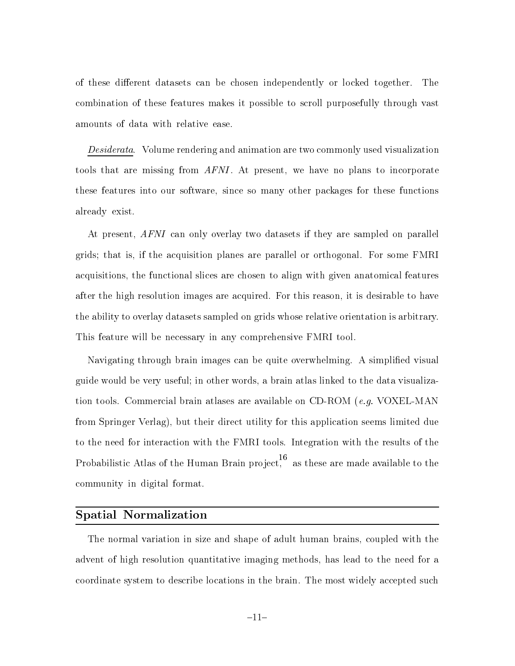of these different datasets can be chosen independently or locked together. The combination of these features makes it possible to scroll purposefully through vast amounts of data with relative ease

Desiderata. Volume rendering and animation are two commonly used visualization tools that are missing from  $AFNI$ . At present, we have no plans to incorporate these features into our software, since so many other packages for these functions already exist

At present, *AFNI* can only overlay two datasets if they are sampled on parallel grids; that is, if the acquisition planes are parallel or orthogonal. For some FMRI acquisitions the functional slices are chosen to align with given anatomical features after the high resolution images are acquired. For this reason, it is desirable to have the ability to overlay datasets sampled on grids whose relative orientation is arbitrary This feature will be necessary in any comprehensive FMRI tool

Navigating through brain images can be quite overwhelming A simplied visual guide would be very useful; in other words, a brain atlas linked to the data visualization tools. Commercial brain atlases are available on  $CD-ROM$  (e.g. VOXEL-MAN from Springer Verlag), but their direct utility for this application seems limited due to the need for interaction with the FMRI tools Integration with the results of the Probabilistic Atlas of the Human Brain project, as these are made available to the community in digital format

# Spatial Normalization

The normal variation in size and shape of adult human brains coupled with the advent of high resolution quantitative imaging methods, has lead to the need for a coordinate system to describe locations in the brain The most widely accepted such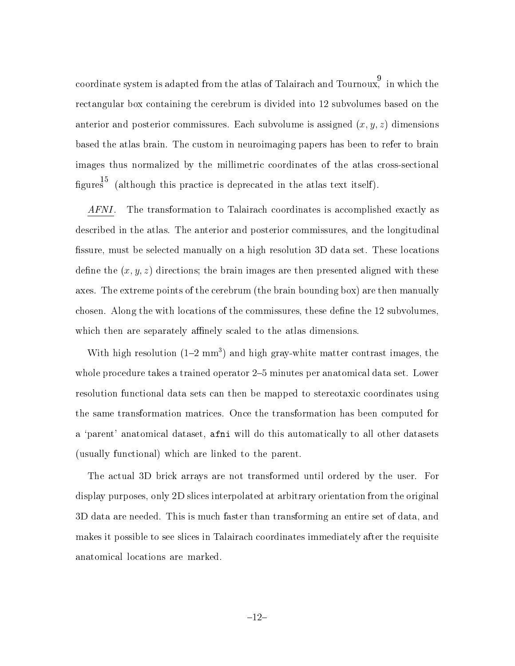coordinate system is adapted from the atlas of Talairach and Tournoux in which the rectangular box containing the cerebrum is divided into 12 subvolumes based on the anterior and posterior commissures. Each subvolume is assigned  $(x, y, z)$  dimensions based the atlas brain The custom in neuroimaging papers has been to refer to brain images thus normalized by the millimetric coordinates of the atlas cross-sectional figures  $15$  (although this practice is deprecated in the atlas text itself).

AFNI. The transformation to Talairach coordinates is accomplished exactly as described in the atlas. The anterior and posterior commissures, and the longitudinal fissure, must be selected manually on a high resolution 3D data set. These locations define the  $(x, y, z)$  directions; the brain images are then presented aligned with these axes. The extreme points of the cerebrum (the brain bounding box) are then manually chosen. Along the with locations of the commissures, these define the 12 subvolumes, which then are separately affinely scaled to the atlas dimensions.

 $N$  full high resolution  $(1-2)$  mm and high gray-white matter contrast images, the who procedure takes a trained operator operator is the set and the set and the set  $\mathbb{R}^n$ resolution functional data sets can then be mapped to stereotaxic coordinates using the same transformation matrices Once the transformation has been computed for a 'parent' anatomical dataset, afni will do this automatically to all other datasets (usually functional) which are linked to the parent.

The actual 3D brick arrays are not transformed until ordered by the user. For display purposes, only 2D slices interpolated at arbitrary orientation from the original 3D data are needed. This is much faster than transforming an entire set of data, and makes it possible to see slices in Talairach coordinates immediately after the requisite anatomical locations are marked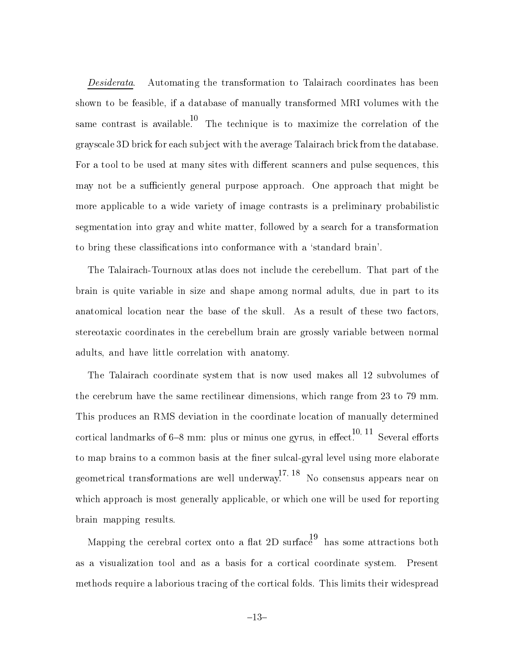Desiderata. Automating the transformation to Talairach coordinates has been shown to be feasible, if a database of manually transformed MRI volumes with the same contrast is available.<sup>10</sup> The technique is to maximize the correlation of the grayscale 3D brick for each subject with the average Talairach brick from the database. For a tool to be used at many sites with different scanners and pulse sequences, this may not be a sufficiently general purpose approach. One approach that might be more applicable to a wide variety of image contrasts is a preliminary probabilistic segmentation into gray and white matter, followed by a search for a transformation to bring these classifications into conformance with a 'standard brain'.

The Talairach-Tournoux atlas does not include the cerebellum. That part of the brain is quite variable in size and shape among normal adults, due in part to its anatomical location near the base of the skull As a result of these two factors stereotaxic coordinates in the cerebellum brain are grossly variable between normal adults, and have little correlation with anatomy.

The Talairach coordinate system that is now used makes all 12 subvolumes of the cerebrum have the same rectilinear dimensions, which range from  $23$  to  $79 \text{ mm}$ . This produces an RMS deviation in the coordinate location of manually determined cortical landmarks of  $6-8$  mm: plus or minus one gyrus, in effect.  $\sim$  Several efforts to map brains to a common basis at the finer sulcal-gyral level using more elaborate geometrical transformations are well underway.<sup>17, 18</sup> No consensus appears near on which approach is most generally applicable, or which one will be used for reporting brain mapping results

Mapping the cerebral cortex onto a flat 2D surface has some attractions both as a visualization tool and as a basis for a cortical coordinate system Present methods require a laborious tracing of the cortical folds. This limits their widespread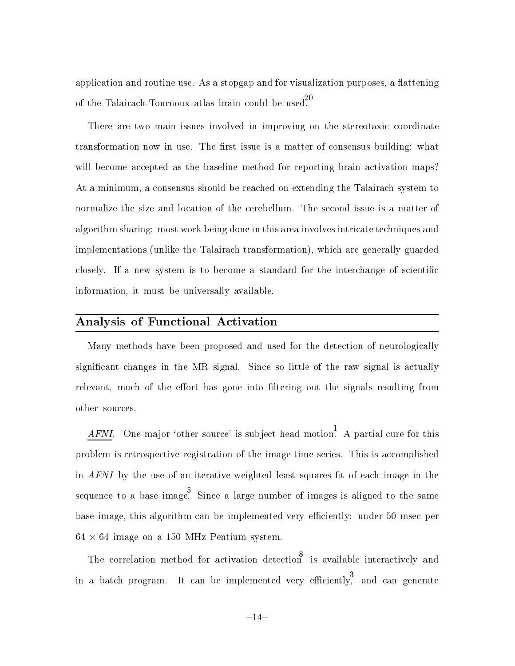application and routine use. As a stopgap and for visualization purposes, a flattening of the Talairach-Tournoux atlas brain could be used.<sup>20</sup>

There are two main issues involved in improving on the stereotaxic coordinate transformation now in use. The first issue is a matter of consensus building: what will become accepted as the baseline method for reporting brain activation maps? At a minimum, a consensus should be reached on extending the Talairach system to normalize the size and location of the cerebellum. The second issue is a matter of algorithm sharing most work being done in this area involves intricate techniques and implementations (unlike the Talairach transformation), which are generally guarded closely If a new system is tobecome a standard for the interchange of scientic information, it must be universally available.

# Analysis of Functional Activation

Many methods have been proposed and used for the detection of neurologically significant changes in the MR signal. Since so little of the raw signal is actually relevant, much of the effort has gone into filtering out the signals resulting from other sources

AFNI. One major 'other source' is subject head motion. A partial cure for this problem is retrospective registration of the image time series This is accomplished in  $AFNI$  by the use of an iterative weighted least squares fit of each image in the sequence to a base image. Since a large number of images is aligned to the same base image, this algorithm can be implemented very efficiently: under 50 msec per  $64 \times 64$  image on a 150 MHz Pentium system.

The correlation method for activation detection is available interactively and in a batch program. It can be implemented very efficiently, and can generate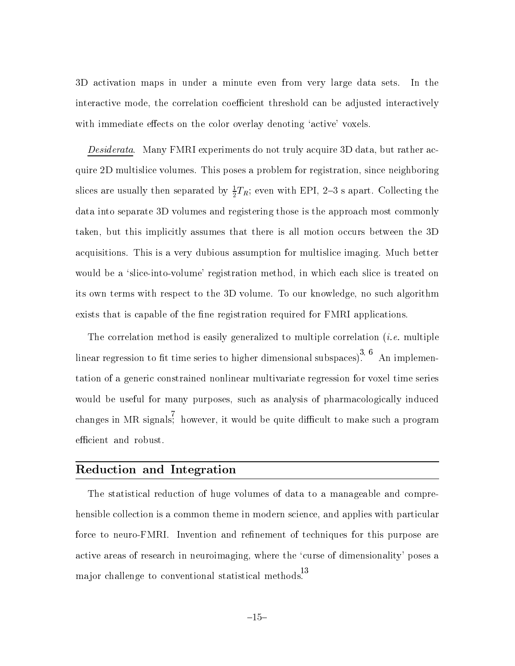D activation maps in under a minute even from verylarge data sets In the interactive mode, the correlation coefficient threshold can be adjusted interactively with immediate effects on the color overlay denoting 'active' voxels.

Desiderata. Many FMRI experiments do not truly acquire 3D data, but rather acquire 2D multislice volumes. This poses a problem for registration, since neighboring slices are usually then separated by  $\frac{1}{2}I_R$ ; even with EPI, 2–5 s apart. Collecting the data into separate 3D volumes and registering those is the approach most commonly taken, but this implicitly assumes that there is all motion occurs between the 3D acquisitions. This is a very dubious assumption for multislice imaging. Much better would be a 'slice-into-volume' registration method, in which each slice is treated on its own terms with respect to the 3D volume. To our knowledge, no such algorithm exists that is capable of the fine registration required for FMRI applications.

The correlation method is easily generalized to multiple correlation *(i.e.* multiple linear regression to fit time series to higher dimensional subspaces). An implementation of a generic constrained nonlinear multivariate regression for voxel time series would be useful for many purposes, such as analysis of pharmacologically induced changes in MR signals<sup>7</sup> however, it would be quite difficult to make such a program efficient and robust.

# Reduction and Integration

The statistical reduction of huge volumes of data to a manageable and compre hensible collection is a common theme in modern science, and applies with particular force to neuro-FMRI. Invention and refinement of techniques for this purpose are active areas of research in neuroimaging, where the 'curse of dimensionality' poses a major challenge to conventional statistical methods.<sup>13</sup>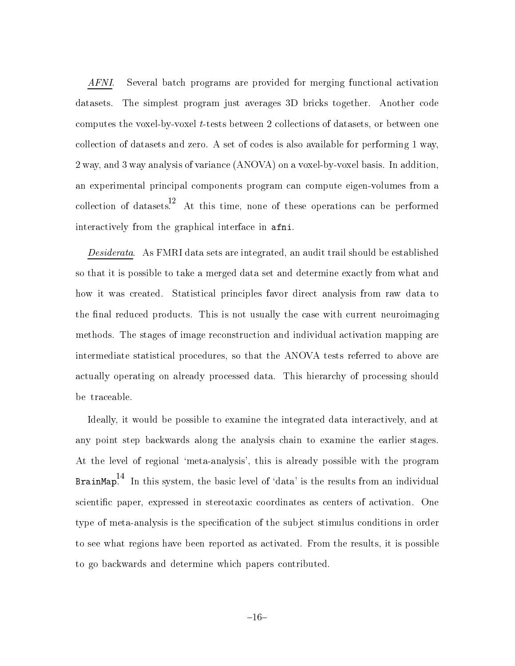AFNI. Several batch programs are provided for merging functional activation datasets. The simplest program just averages 3D bricks together. Another code computes the voxel-by-voxel  $t$ -tests between  $2$  collections of datasets, or between one collection of datasets and zero. A set of codes is also available for performing 1 way,  $2$  way, and  $3$  way analysis of variance  $(ANOVA)$  on a voxel-by-voxel basis. In addition, an experimental principal components program can compute eigen-volumes from a collection of datasets.<sup>12</sup> At this time, none of these operations can be performed interactively from the graphical interface in afni.

*Desiderata*. As FMRI data sets are integrated, an audit trail should be established so that it is possible to take a merged data set and determine exactly from what and how it was created. Statistical principles favor direct analysis from raw data to the final reduced products. This is not usually the case with current neuroimaging methods The stages of image reconstruction and individual activation mapping are intermediate statistical procedures, so that the ANOVA tests referred to above are actually operating on already processed data This hierarchy of processing should be traceable

Ideally, it would be possible to examine the integrated data interactively, and at any point step backwards along the analysis chain to examine the earlier stages At the level of regional 'meta-analysis', this is already possible with the program BrainMap<sup>14</sup> In this system, the basic level of 'data' is the results from an individual scientific paper, expressed in stereotaxic coordinates as centers of activation. One type of meta-analysis is the specification of the subject stimulus conditions in order to see what regions have been reported as activated. From the results, it is possible to go backwards and determine which papers contributed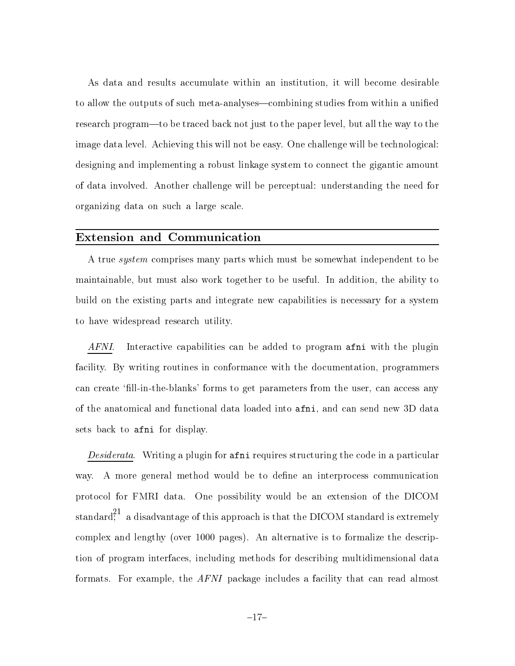As data and results accumulate within an institution it will become desirable to allow the outputs of such meta-analyses—combining studies from within a unified research program—to be traced back not just to the paper level, but all the way to the image data level. Achieving this will not be easy. One challenge will be technological: designing and implementing a robust linkage system to connect the gigantic amount of data involved. Another challenge will be perceptual: understanding the need for organizing data on such a large scale

#### Extension and Communication

A true *system* comprises many parts which must be somewhat independent to be maintainable, but must also work together to be useful. In addition, the ability to build on the existing parts and integrate new capabilities is necessary for a system to have widespread research utility

 $AFNI.$  Interactive capabilities can be added to program afinity with the plugin facility. By writing routines in conformance with the documentation, programmers can create 'fill-in-the-blanks' forms to get parameters from the user, can access any of the anatomical and functional data loaded into afini, and can send new 3D data sets back to afni for display.

Desiderata. Writing a plugin for a fini requires structuring the code in a particular way. A more general method would be to define an interprocess communication protocol for FMRI data One possibility would be an extension of the DICOM standard<sup>21</sup> a disadvantage of this approach is that the DICOM standard is extremely complex and lengthy (over  $1000$  pages). An alternative is to formalize the description of program interfaces including methods for describing multidimensional data formats. For example, the  $AFNI$  package includes a facility that can read almost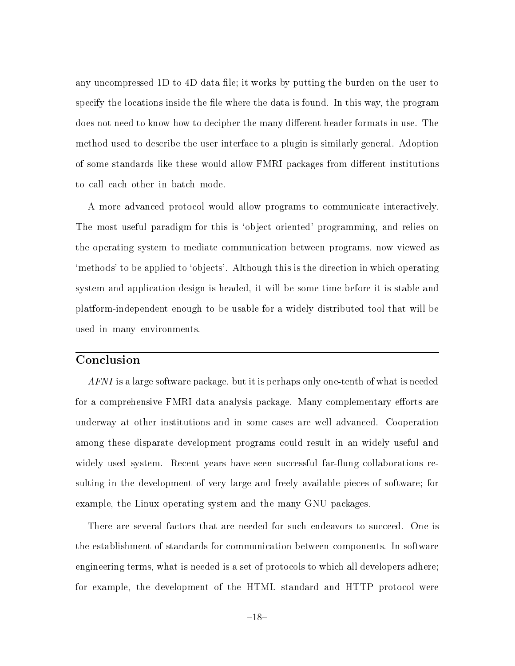any uncompressed 1D to 4D data file; it works by putting the burden on the user to specify the locations inside the file where the data is found. In this way, the program does not need to know how to decipher the many different header formats in use. The method used to describe the user interface to a plugin is similarly general Adoption of some standards like these would allow FMRI packages from different institutions to call each other in batch mode

A more advanced protocol would allow programs to communicate interactively The most useful paradigm for this is 'object oriented' programming, and relies on the operating system to mediate communication between programs, now viewed as 'methods' to be applied to 'objects'. Although this is the direction in which operating system and application design is headed it will be some time before it is stable and platformindependent enough to be usable for a widely distributed tool that will be used in many environments

# Conclusion

 $AFNI$  is a large software package, but it is perhaps only one-tenth of what is needed for a comprehensive FMRI data analysis package. Many complementary efforts are underway at other institutions and in some cases are well advanced. Cooperation among these disparate development programs could result in an widely useful and widely used system. Recent years have seen successful far-flung collaborations resulting in the development of very large and freely available pieces of software; for example, the Linux operating system and the many GNU packages.

There are several factors that are needed for such endeavors to succeed. One is the establishment of standards for communication between components In software engineering terms, what is needed is a set of protocols to which all developers adhere; for example, the development of the HTML standard and HTTP protocol were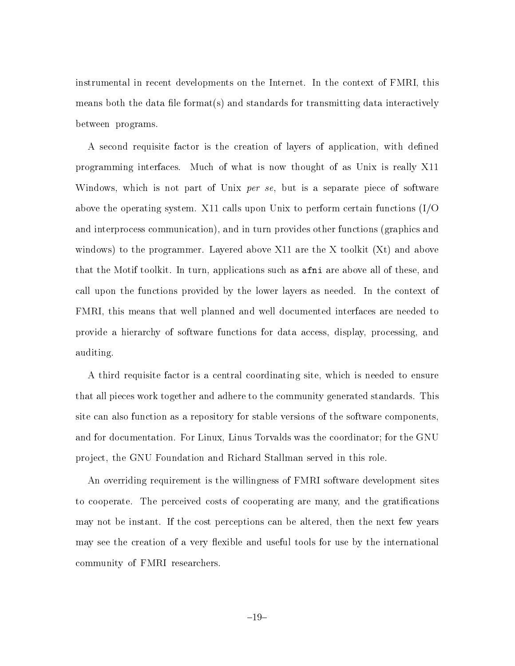instrumental in recent developments on the Internet. In the context of FMRI, this means both the data file format(s) and standards for transmitting data interactively between programs

A second requisite factor is the creation of layers of application, with defined programming interfaces. Much of what is now thought of as Unix is really X11 Windows, which is not part of Unix per se, but is a separate piece of software above the operating system. X11 calls upon Unix to perform certain functions  $(I/O)$ and interprocess communication), and in turn provides other functions (graphics and windows) to the programmer. Layered above  $X11$  are the X toolkit  $(Xt)$  and above that the Motif toolkit. In turn, applications such as afini are above all of these, and call upon the functions provided by the lower layers as needed. In the context of FMRI, this means that well planned and well documented interfaces are needed to provide a hierarchy of software functions for data access display processing and auditing

A third requisite factor is a central coordinating site, which is needed to ensure that all pieces work together and adhere to the community generated standards This site can also function as a repository for stable versions of the software components and for documentation. For Linux, Linus Torvalds was the coordinator; for the GNU project, the GNU Foundation and Richard Stallman served in this role.

An overriding requirement is the willingness of FMRI software development sites to cooperate. The perceived costs of cooperating are many, and the gratifications may not be instant. If the cost perceptions can be altered, then the next few years may see the creation of a very flexible and useful tools for use by the international community of FMRI researchers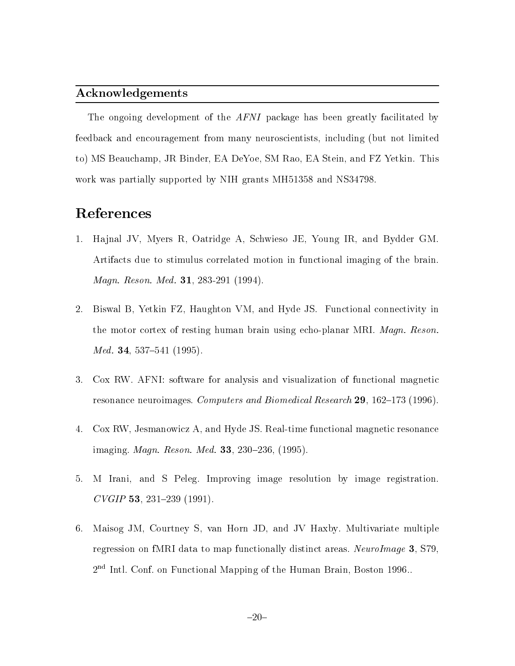#### Acknowledgements

The ongoing development of the  $AFNI$  package has been greatly facilitated by feedback and encouragement from many neuroscientists, including (but not limited to) MS Beauchamp, JR Binder, EA DeYoe, SM Rao, EA Stein, and FZ Yetkin. This work was particularly supported by NIH grants MH-SI-C and NIH grants MH-SI-C and NIH grants MH-SI-C and NIH gr

# References

- 1. Hajnal JV, Myers R, Oatridge A, Schwieso JE, Young IR, and Bydder GM. Artifacts due to stimulus correlated motion in functional imaging of the brain Magn Reson Med - -
- 2. Biswal B, Yetkin FZ, Haughton VM, and Hyde JS. Functional connectivity in the motor cortex of resting human brain using echo-planar MRI. Magn. Reson. Med
- 3. Cox RW. AFNI: software for analysis and visualization of functional magnetic resonance neuroimages Computers and Biomedical Research
- 4. Cox RW, Jesmanowicz A, and Hyde JS. Real-time functional magnetic resonance imaging Magn Reson Med
- M Irani, and S Peleg. Improving image resolution by image registration. 5. CVGIP
- 6. Maisog JM, Courtney S, van Horn JD, and JV Haxby. Multivariate multiple regression on fMRI data to map functionally distinct areas. NeuroImage  $3$ , S79, 2<sup>-</sup> Intl. Conf. on Functional Mapping of the Human Brain, Boston 1990..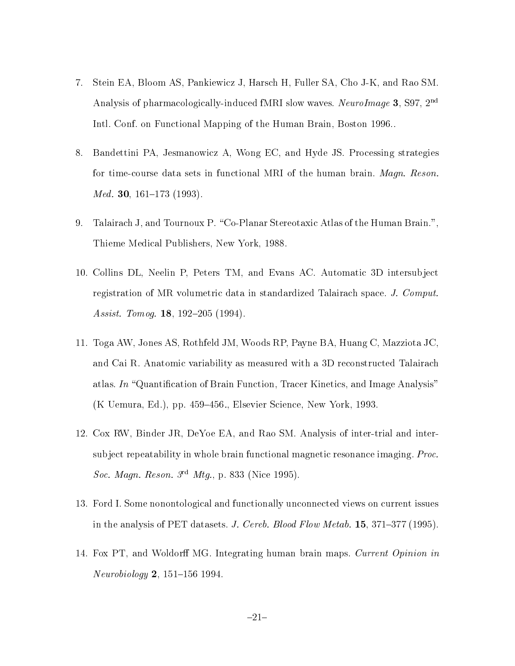- 7. Stein EA, Bloom AS, Pankiewicz J, Harsch H, Fuller SA, Cho J-K, and Rao SM. Analysis of pharmacologically-induced fMRI slow waves. NeuroImage  $3$ , S97, 2<sup>nd</sup> Intl. Conf. on Functional Mapping of the Human Brain, Boston 1996..
- 8. Bandettini PA, Jesmanowicz A, Wong EC, and Hyde JS. Processing strategies for time-course data sets in functional MRI of the human brain. Magn. Reson. Media and the contract of the contract of the contract of the contract of the contract of the contract of the contract of the contract of the contract of the contract of the contract of the contract of the contract of the
- 9. Talairach J, and Tournoux P. "Co-Planar Stereotaxic Atlas of the Human Brain.", Thieme Medical Publishers New York --
- 10. Collins DL, Neelin P, Peters TM, and Evans AC. Automatic 3D intersubject registration of MR volumetric data in standardized Talairach space. J. Comput. Assist Tomog -
- 11. Toga AW, Jones AS, Rothfeld JM, Woods RP, Payne BA, Huang C, Mazziota JC, and Cai R. Anatomic variability as measured with a 3D reconstructed Talairach atlas. In "Quantification of Brain Function, Tracer Kinetics, and Image Analysis" K Uemura Ed pp Elsevier Science New York
- 12. Cox RW, Binder JR, DeYoe EA, and Rao SM. Analysis of inter-trial and intersubject repeatability in whole brain functional magnetic resonance imaging. Proc.  $Soc.$  Maqn. Reson.  $\beta$  - Mtq., p. 833 (INICE 1993).
- 13. Ford I. Some nonontological and functionally unconnected views on current issues in the analysis of PET datasets J Cereb Blood Flow Metab -
- 14. Fox PT, and Woldorff MG. Integrating human brain maps. Current Opinion in neuropean and head and head and head and head and head and head and head and head and head and head and head a